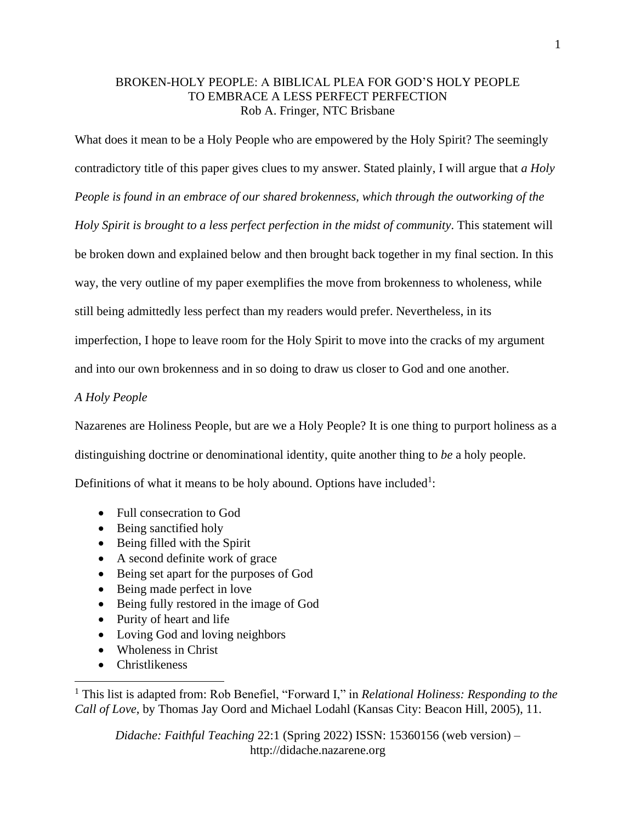## BROKEN-HOLY PEOPLE: A BIBLICAL PLEA FOR GOD'S HOLY PEOPLE TO EMBRACE A LESS PERFECT PERFECTION Rob A. Fringer, NTC Brisbane

What does it mean to be a Holy People who are empowered by the Holy Spirit? The seemingly

contradictory title of this paper gives clues to my answer. Stated plainly, I will argue that *a Holy People is found in an embrace of our shared brokenness, which through the outworking of the Holy Spirit is brought to a less perfect perfection in the midst of community*. This statement will be broken down and explained below and then brought back together in my final section. In this way, the very outline of my paper exemplifies the move from brokenness to wholeness, while still being admittedly less perfect than my readers would prefer. Nevertheless, in its imperfection, I hope to leave room for the Holy Spirit to move into the cracks of my argument

and into our own brokenness and in so doing to draw us closer to God and one another.

## *A Holy People*

Nazarenes are Holiness People, but are we a Holy People? It is one thing to purport holiness as a

distinguishing doctrine or denominational identity, quite another thing to *be* a holy people.

Definitions of what it means to be holy abound. Options have included<sup>1</sup>:

- Full consecration to God
- Being sanctified holy
- Being filled with the Spirit
- A second definite work of grace
- Being set apart for the purposes of God
- Being made perfect in love
- Being fully restored in the image of God
- Purity of heart and life
- Loving God and loving neighbors
- Wholeness in Christ
- Christlikeness

<sup>1</sup> This list is adapted from: Rob Benefiel, "Forward I," in *Relational Holiness: Responding to the Call of Love*, by Thomas Jay Oord and Michael Lodahl (Kansas City: Beacon Hill, 2005), 11.

*Didache: Faithful Teaching* 22:1 (Spring 2022) ISSN: 15360156 (web version) – http://didache.nazarene.org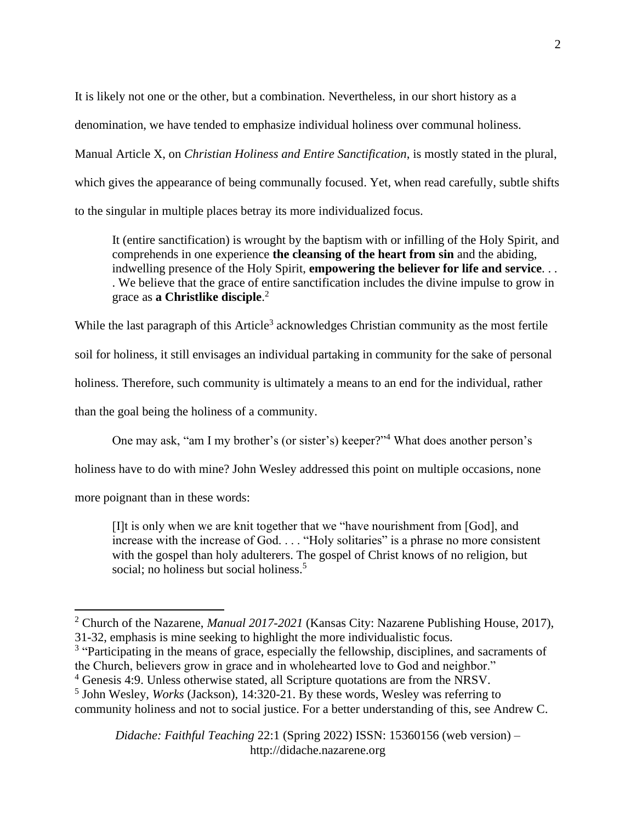It is likely not one or the other, but a combination. Nevertheless, in our short history as a

denomination, we have tended to emphasize individual holiness over communal holiness.

Manual Article X, on *Christian Holiness and Entire Sanctification*, is mostly stated in the plural, which gives the appearance of being communally focused. Yet, when read carefully, subtle shifts to the singular in multiple places betray its more individualized focus.

It (entire sanctification) is wrought by the baptism with or infilling of the Holy Spirit, and comprehends in one experience **the cleansing of the heart from sin** and the abiding, indwelling presence of the Holy Spirit, **empowering the believer for life and service**. . . . We believe that the grace of entire sanctification includes the divine impulse to grow in grace as **a Christlike disciple**. 2

While the last paragraph of this Article<sup>3</sup> acknowledges Christian community as the most fertile soil for holiness, it still envisages an individual partaking in community for the sake of personal holiness. Therefore, such community is ultimately a means to an end for the individual, rather than the goal being the holiness of a community.

One may ask, "am I my brother's (or sister's) keeper?" <sup>4</sup> What does another person's

holiness have to do with mine? John Wesley addressed this point on multiple occasions, none

more poignant than in these words:

[I]t is only when we are knit together that we "have nourishment from [God], and increase with the increase of God. . . . "Holy solitaries" is a phrase no more consistent with the gospel than holy adulterers. The gospel of Christ knows of no religion, but social; no holiness but social holiness.<sup>5</sup>

<sup>3</sup> "Participating in the means of grace, especially the fellowship, disciplines, and sacraments of the Church, believers grow in grace and in wholehearted love to God and neighbor."

*Didache: Faithful Teaching* 22:1 (Spring 2022) ISSN: 15360156 (web version) – http://didache.nazarene.org

<sup>2</sup> Church of the Nazarene, *Manual 2017-2021* (Kansas City: Nazarene Publishing House, 2017), 31-32, emphasis is mine seeking to highlight the more individualistic focus.

<sup>4</sup> Genesis 4:9. Unless otherwise stated, all Scripture quotations are from the NRSV.

<sup>5</sup> John Wesley, *Works* (Jackson), 14:320-21. By these words, Wesley was referring to community holiness and not to social justice. For a better understanding of this, see Andrew C.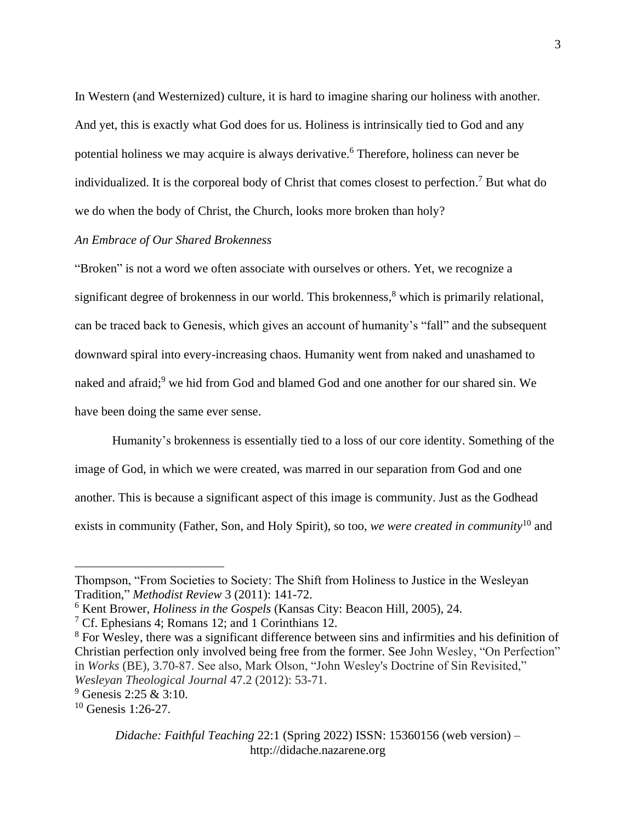In Western (and Westernized) culture, it is hard to imagine sharing our holiness with another. And yet, this is exactly what God does for us. Holiness is intrinsically tied to God and any potential holiness we may acquire is always derivative.<sup>6</sup> Therefore, holiness can never be individualized. It is the corporeal body of Christ that comes closest to perfection. <sup>7</sup> But what do we do when the body of Christ, the Church, looks more broken than holy?

# *An Embrace of Our Shared Brokenness*

"Broken" is not a word we often associate with ourselves or others. Yet, we recognize a significant degree of brokenness in our world. This brokenness, <sup>8</sup> which is primarily relational, can be traced back to Genesis, which gives an account of humanity's "fall" and the subsequent downward spiral into every-increasing chaos. Humanity went from naked and unashamed to naked and afraid;<sup>9</sup> we hid from God and blamed God and one another for our shared sin. We have been doing the same ever sense.

Humanity's brokenness is essentially tied to a loss of our core identity. Something of the image of God, in which we were created, was marred in our separation from God and one another. This is because a significant aspect of this image is community. Just as the Godhead exists in community (Father, Son, and Holy Spirit), so too, *we were created in community*<sup>10</sup> and

Thompson, "From Societies to Society: The Shift from Holiness to Justice in the Wesleyan Tradition," *Methodist Review* 3 (2011): 141-72.

<sup>6</sup> Kent Brower, *Holiness in the Gospels* (Kansas City: Beacon Hill, 2005), 24.

<sup>7</sup> Cf. Ephesians 4; Romans 12; and 1 Corinthians 12.

<sup>&</sup>lt;sup>8</sup> For Wesley, there was a significant difference between sins and infirmities and his definition of Christian perfection only involved being free from the former. See John Wesley, "On Perfection" in *Works* (BE), 3.70-87. See also, Mark Olson, "John Wesley's Doctrine of Sin Revisited," *Wesleyan Theological Journal* 47.2 (2012): 53-71.

<sup>9</sup> Genesis 2:25 & 3:10.

 $10$  Genesis 1:26-27.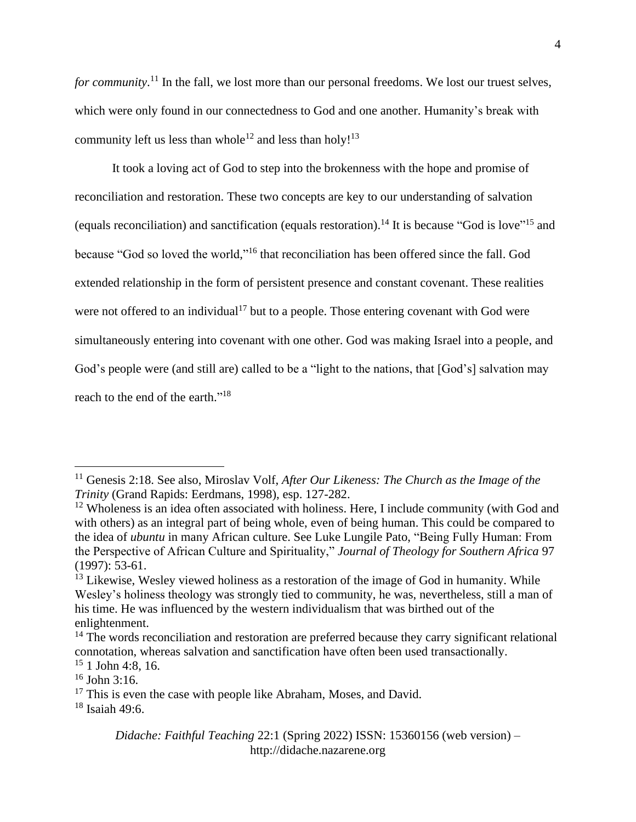for community.<sup>11</sup> In the fall, we lost more than our personal freedoms. We lost our truest selves, which were only found in our connectedness to God and one another. Humanity's break with community left us less than whole<sup>12</sup> and less than holy!<sup>13</sup>

It took a loving act of God to step into the brokenness with the hope and promise of reconciliation and restoration. These two concepts are key to our understanding of salvation (equals reconciliation) and sanctification (equals restoration).<sup>14</sup> It is because "God is love"<sup>15</sup> and because "God so loved the world,"<sup>16</sup> that reconciliation has been offered since the fall. God extended relationship in the form of persistent presence and constant covenant. These realities were not offered to an individual<sup>17</sup> but to a people. Those entering covenant with God were simultaneously entering into covenant with one other. God was making Israel into a people, and God's people were (and still are) called to be a "light to the nations, that [God's] salvation may reach to the end of the earth."<sup>18</sup>

<sup>&</sup>lt;sup>11</sup> Genesis 2:18. See also, Miroslav Volf, *After Our Likeness: The Church as the Image of the Trinity* (Grand Rapids: Eerdmans, 1998), esp. 127-282.

 $12$  Wholeness is an idea often associated with holiness. Here, I include community (with God and with others) as an integral part of being whole, even of being human. This could be compared to the idea of *ubuntu* in many African culture. See Luke Lungile Pato, "Being Fully Human: From the Perspective of African Culture and Spirituality," *Journal of Theology for Southern Africa* 97 (1997): 53-61.

 $13$  Likewise, Wesley viewed holiness as a restoration of the image of God in humanity. While Wesley's holiness theology was strongly tied to community, he was, nevertheless, still a man of his time. He was influenced by the western individualism that was birthed out of the enlightenment.

<sup>&</sup>lt;sup>14</sup> The words reconciliation and restoration are preferred because they carry significant relational connotation, whereas salvation and sanctification have often been used transactionally.

 $15$  1 John 4:8, 16.

 $16$  John 3:16.

 $17$  This is even the case with people like Abraham, Moses, and David.

 $18$  Isaiah 49:6.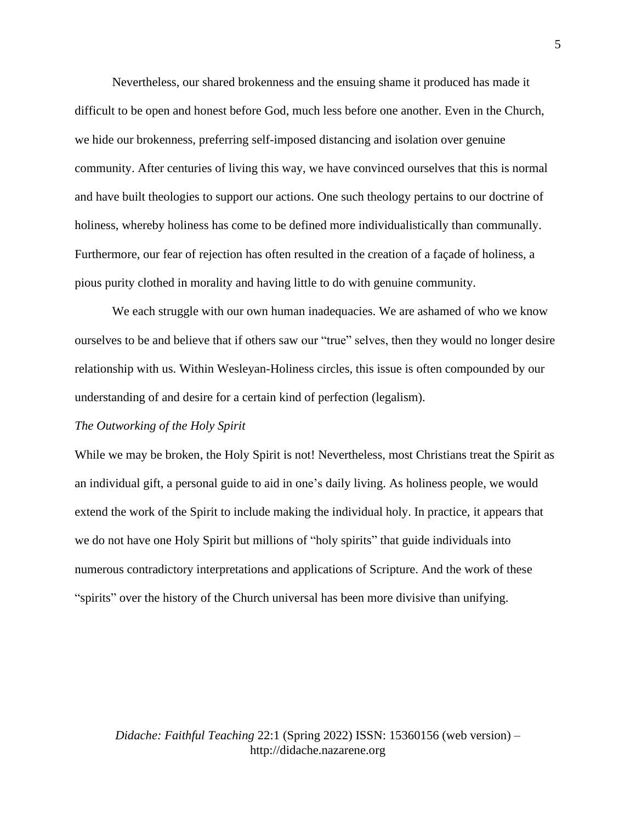Nevertheless, our shared brokenness and the ensuing shame it produced has made it difficult to be open and honest before God, much less before one another. Even in the Church, we hide our brokenness, preferring self-imposed distancing and isolation over genuine community. After centuries of living this way, we have convinced ourselves that this is normal and have built theologies to support our actions. One such theology pertains to our doctrine of holiness, whereby holiness has come to be defined more individualistically than communally. Furthermore, our fear of rejection has often resulted in the creation of a façade of holiness, a pious purity clothed in morality and having little to do with genuine community.

We each struggle with our own human inadequacies. We are ashamed of who we know ourselves to be and believe that if others saw our "true" selves, then they would no longer desire relationship with us. Within Wesleyan-Holiness circles, this issue is often compounded by our understanding of and desire for a certain kind of perfection (legalism).

#### *The Outworking of the Holy Spirit*

While we may be broken, the Holy Spirit is not! Nevertheless, most Christians treat the Spirit as an individual gift, a personal guide to aid in one's daily living. As holiness people, we would extend the work of the Spirit to include making the individual holy. In practice, it appears that we do not have one Holy Spirit but millions of "holy spirits" that guide individuals into numerous contradictory interpretations and applications of Scripture. And the work of these "spirits" over the history of the Church universal has been more divisive than unifying.

*Didache: Faithful Teaching* 22:1 (Spring 2022) ISSN: 15360156 (web version) – http://didache.nazarene.org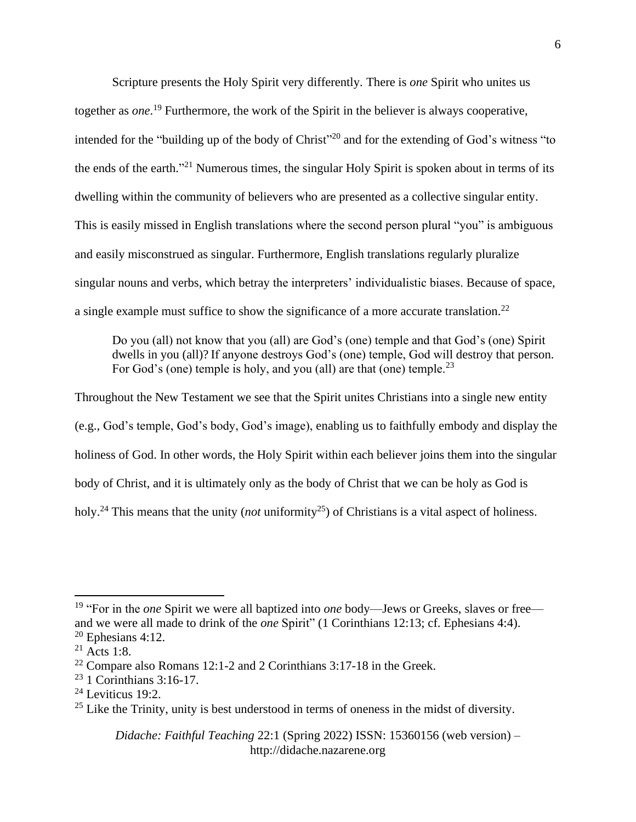Scripture presents the Holy Spirit very differently. There is *one* Spirit who unites us together as *one*. <sup>19</sup> Furthermore, the work of the Spirit in the believer is always cooperative, intended for the "building up of the body of Christ"<sup>20</sup> and for the extending of God's witness "to the ends of the earth."<sup>21</sup> Numerous times, the singular Holy Spirit is spoken about in terms of its dwelling within the community of believers who are presented as a collective singular entity. This is easily missed in English translations where the second person plural "you" is ambiguous and easily misconstrued as singular. Furthermore, English translations regularly pluralize singular nouns and verbs, which betray the interpreters' individualistic biases. Because of space, a single example must suffice to show the significance of a more accurate translation.<sup>22</sup>

Do you (all) not know that you (all) are God's (one) temple and that God's (one) Spirit dwells in you (all)? If anyone destroys God's (one) temple, God will destroy that person. For God's (one) temple is holy, and you (all) are that (one) temple.<sup>23</sup>

Throughout the New Testament we see that the Spirit unites Christians into a single new entity (e.g., God's temple, God's body, God's image), enabling us to faithfully embody and display the holiness of God. In other words, the Holy Spirit within each believer joins them into the singular body of Christ, and it is ultimately only as the body of Christ that we can be holy as God is holy.<sup>24</sup> This means that the unity (*not* uniformity<sup>25</sup>) of Christians is a vital aspect of holiness.

<sup>19</sup> "For in the *one* Spirit we were all baptized into *one* body—Jews or Greeks, slaves or free and we were all made to drink of the *one* Spirit" (1 Corinthians 12:13; cf. Ephesians 4:4).  $20$  Ephesians 4:12.

 $21$  Acts 1:8.

<sup>&</sup>lt;sup>22</sup> Compare also Romans 12:1-2 and 2 Corinthians 3:17-18 in the Greek.

<sup>23</sup> 1 Corinthians 3:16-17.

 $24$  Leviticus 19:2.

 $25$  Like the Trinity, unity is best understood in terms of oneness in the midst of diversity.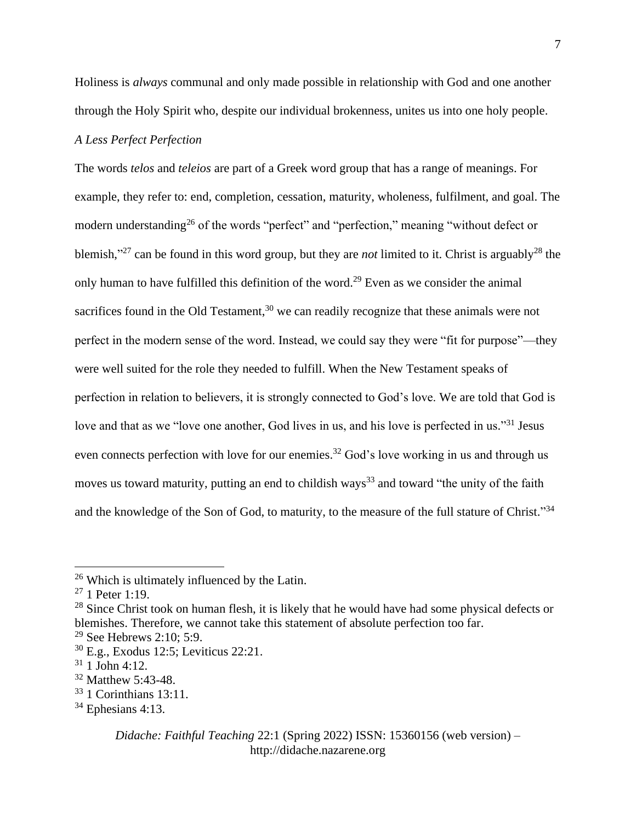Holiness is *always* communal and only made possible in relationship with God and one another through the Holy Spirit who, despite our individual brokenness, unites us into one holy people.

## *A Less Perfect Perfection*

The words *telos* and *teleios* are part of a Greek word group that has a range of meanings. For example, they refer to: end, completion, cessation, maturity, wholeness, fulfilment, and goal. The modern understanding<sup>26</sup> of the words "perfect" and "perfection," meaning "without defect or blemish,"<sup>27</sup> can be found in this word group, but they are *not* limited to it. Christ is arguably<sup>28</sup> the only human to have fulfilled this definition of the word.<sup>29</sup> Even as we consider the animal sacrifices found in the Old Testament,<sup>30</sup> we can readily recognize that these animals were not perfect in the modern sense of the word. Instead, we could say they were "fit for purpose"—they were well suited for the role they needed to fulfill. When the New Testament speaks of perfection in relation to believers, it is strongly connected to God's love. We are told that God is love and that as we "love one another, God lives in us, and his love is perfected in us."<sup>31</sup> Jesus even connects perfection with love for our enemies.<sup>32</sup> God's love working in us and through us moves us toward maturity, putting an end to childish ways<sup>33</sup> and toward "the unity of the faith" and the knowledge of the Son of God, to maturity, to the measure of the full stature of Christ."<sup>34</sup>

<sup>26</sup> Which is ultimately influenced by the Latin.

<sup>27</sup> 1 Peter 1:19.

 $28$  Since Christ took on human flesh, it is likely that he would have had some physical defects or blemishes. Therefore, we cannot take this statement of absolute perfection too far. <sup>29</sup> See Hebrews 2:10; 5:9.

<sup>30</sup> E.g., Exodus 12:5; Leviticus 22:21.

 $31$  1 John 4:12.

<sup>32</sup> Matthew 5:43-48.

<sup>33</sup> 1 Corinthians 13:11.

 $34$  Ephesians 4:13.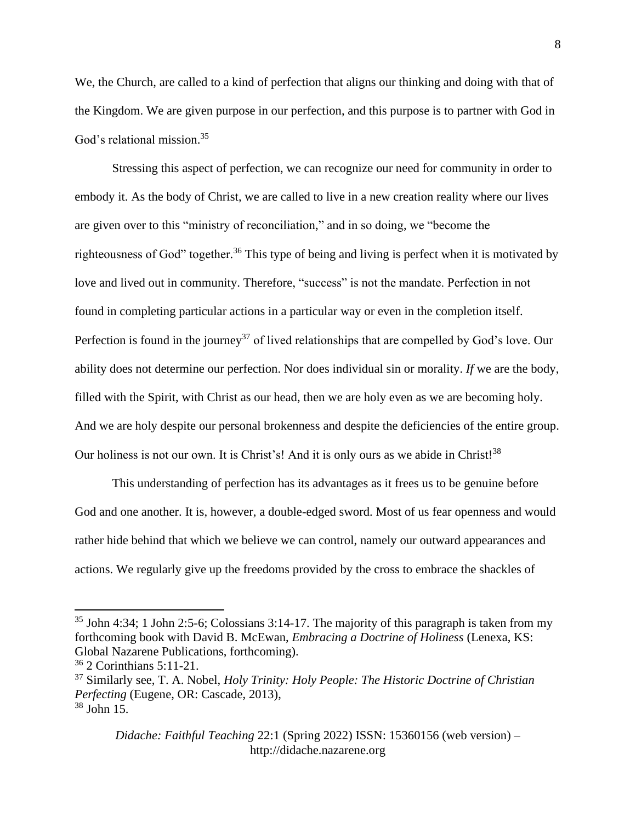We, the Church, are called to a kind of perfection that aligns our thinking and doing with that of the Kingdom. We are given purpose in our perfection, and this purpose is to partner with God in God's relational mission. 35

Stressing this aspect of perfection, we can recognize our need for community in order to embody it. As the body of Christ, we are called to live in a new creation reality where our lives are given over to this "ministry of reconciliation," and in so doing, we "become the righteousness of God" together.<sup>36</sup> This type of being and living is perfect when it is motivated by love and lived out in community. Therefore, "success" is not the mandate. Perfection in not found in completing particular actions in a particular way or even in the completion itself. Perfection is found in the journey<sup>37</sup> of lived relationships that are compelled by God's love. Our ability does not determine our perfection. Nor does individual sin or morality. *If* we are the body, filled with the Spirit, with Christ as our head, then we are holy even as we are becoming holy. And we are holy despite our personal brokenness and despite the deficiencies of the entire group. Our holiness is not our own. It is Christ's! And it is only ours as we abide in Christ!<sup>38</sup>

This understanding of perfection has its advantages as it frees us to be genuine before God and one another. It is, however, a double-edged sword. Most of us fear openness and would rather hide behind that which we believe we can control, namely our outward appearances and actions. We regularly give up the freedoms provided by the cross to embrace the shackles of

 $35$  John 4:34; 1 John 2:5-6; Colossians 3:14-17. The majority of this paragraph is taken from my forthcoming book with David B. McEwan, *Embracing a Doctrine of Holiness* (Lenexa, KS: Global Nazarene Publications, forthcoming).

 $36$  2 Corinthians 5:11-21.

<sup>37</sup> Similarly see, T. A. Nobel, *Holy Trinity: Holy People: The Historic Doctrine of Christian Perfecting* (Eugene, OR: Cascade, 2013),  $38$  John 15.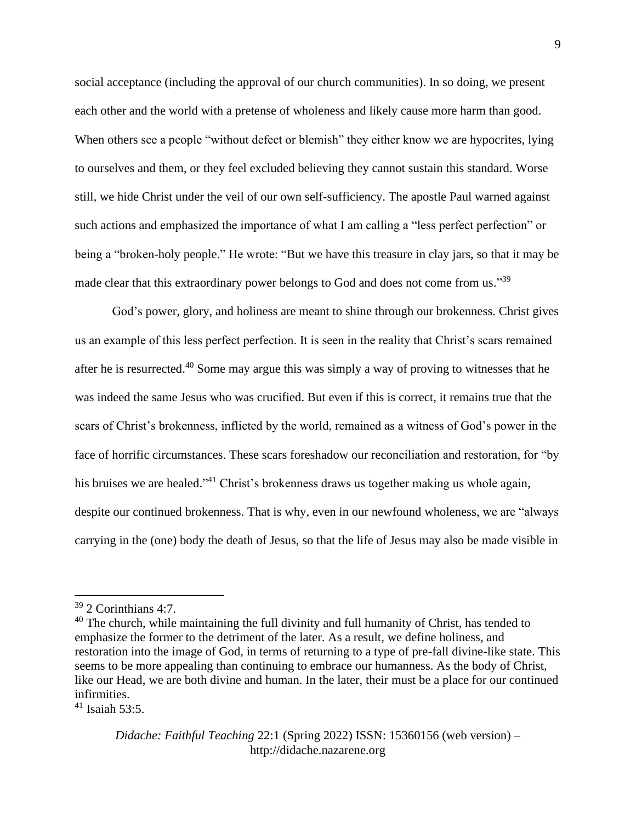social acceptance (including the approval of our church communities). In so doing, we present each other and the world with a pretense of wholeness and likely cause more harm than good. When others see a people "without defect or blemish" they either know we are hypocrites, lying to ourselves and them, or they feel excluded believing they cannot sustain this standard. Worse still, we hide Christ under the veil of our own self-sufficiency. The apostle Paul warned against such actions and emphasized the importance of what I am calling a "less perfect perfection" or being a "broken-holy people." He wrote: "But we have this treasure in clay jars, so that it may be made clear that this extraordinary power belongs to God and does not come from us."<sup>39</sup>

God's power, glory, and holiness are meant to shine through our brokenness. Christ gives us an example of this less perfect perfection. It is seen in the reality that Christ's scars remained after he is resurrected.<sup>40</sup> Some may argue this was simply a way of proving to witnesses that he was indeed the same Jesus who was crucified. But even if this is correct, it remains true that the scars of Christ's brokenness, inflicted by the world, remained as a witness of God's power in the face of horrific circumstances. These scars foreshadow our reconciliation and restoration, for "by his bruises we are healed."<sup>41</sup> Christ's brokenness draws us together making us whole again, despite our continued brokenness. That is why, even in our newfound wholeness, we are "always carrying in the (one) body the death of Jesus, so that the life of Jesus may also be made visible in

 $41$  Isaiah 53:5.

<sup>39</sup> 2 Corinthians 4:7.

 $40$  The church, while maintaining the full divinity and full humanity of Christ, has tended to emphasize the former to the detriment of the later. As a result, we define holiness, and restoration into the image of God, in terms of returning to a type of pre-fall divine-like state. This seems to be more appealing than continuing to embrace our humanness. As the body of Christ, like our Head, we are both divine and human. In the later, their must be a place for our continued infirmities.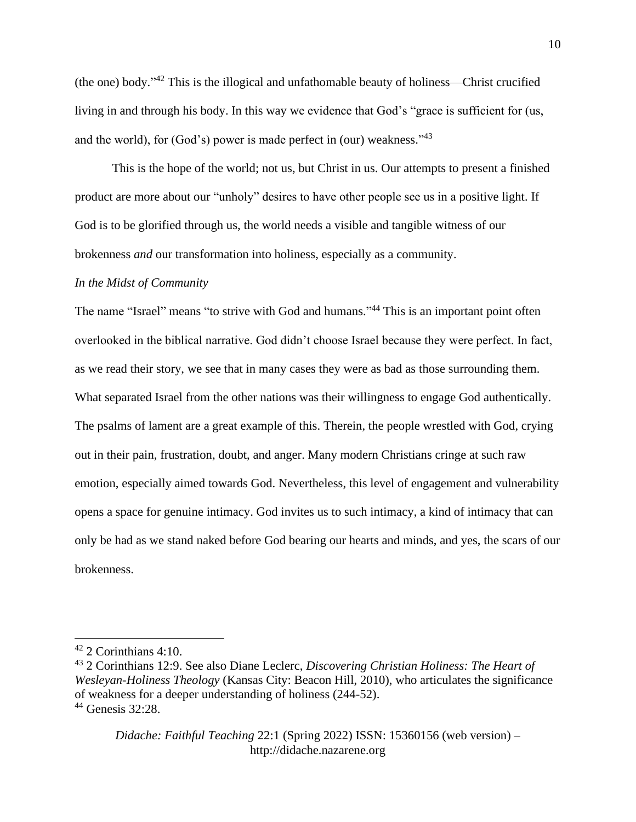(the one) body." <sup>42</sup> This is the illogical and unfathomable beauty of holiness—Christ crucified living in and through his body. In this way we evidence that God's "grace is sufficient for (us, and the world), for (God's) power is made perfect in (our) weakness."<sup>43</sup>

This is the hope of the world; not us, but Christ in us. Our attempts to present a finished product are more about our "unholy" desires to have other people see us in a positive light. If God is to be glorified through us, the world needs a visible and tangible witness of our brokenness *and* our transformation into holiness, especially as a community.

#### *In the Midst of Community*

The name "Israel" means "to strive with God and humans."<sup>44</sup> This is an important point often overlooked in the biblical narrative. God didn't choose Israel because they were perfect. In fact, as we read their story, we see that in many cases they were as bad as those surrounding them. What separated Israel from the other nations was their willingness to engage God authentically. The psalms of lament are a great example of this. Therein, the people wrestled with God, crying out in their pain, frustration, doubt, and anger. Many modern Christians cringe at such raw emotion, especially aimed towards God. Nevertheless, this level of engagement and vulnerability opens a space for genuine intimacy. God invites us to such intimacy, a kind of intimacy that can only be had as we stand naked before God bearing our hearts and minds, and yes, the scars of our brokenness.

 $42$  2 Corinthians 4:10.

<sup>43</sup> 2 Corinthians 12:9. See also Diane Leclerc, *Discovering Christian Holiness: The Heart of Wesleyan-Holiness Theology* (Kansas City: Beacon Hill, 2010), who articulates the significance of weakness for a deeper understanding of holiness (244-52). <sup>44</sup> Genesis 32:28.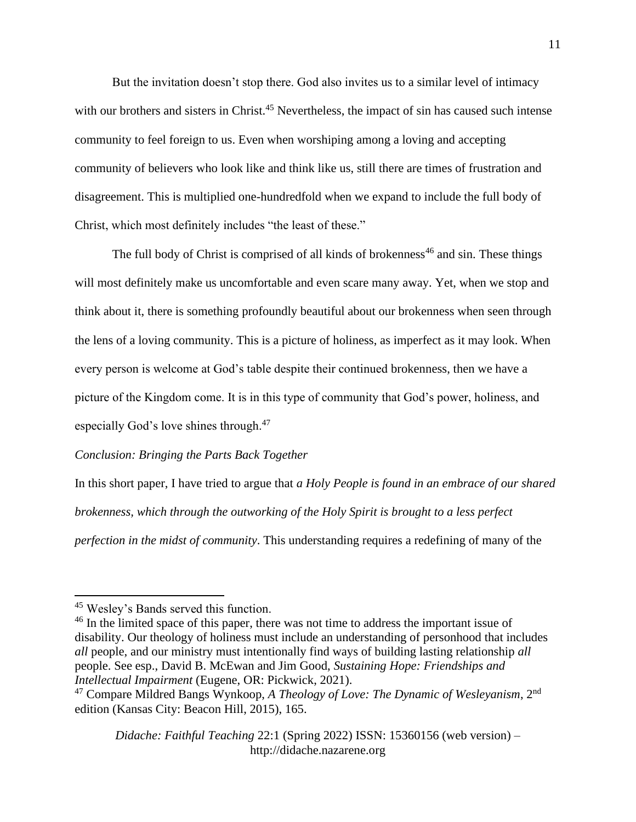But the invitation doesn't stop there. God also invites us to a similar level of intimacy with our brothers and sisters in Christ.<sup>45</sup> Nevertheless, the impact of sin has caused such intense community to feel foreign to us. Even when worshiping among a loving and accepting community of believers who look like and think like us, still there are times of frustration and disagreement. This is multiplied one-hundredfold when we expand to include the full body of Christ, which most definitely includes "the least of these."

The full body of Christ is comprised of all kinds of brokenness<sup>46</sup> and sin. These things will most definitely make us uncomfortable and even scare many away. Yet, when we stop and think about it, there is something profoundly beautiful about our brokenness when seen through the lens of a loving community. This is a picture of holiness, as imperfect as it may look. When every person is welcome at God's table despite their continued brokenness, then we have a picture of the Kingdom come. It is in this type of community that God's power, holiness, and especially God's love shines through.<sup>47</sup>

### *Conclusion: Bringing the Parts Back Together*

In this short paper, I have tried to argue that *a Holy People is found in an embrace of our shared brokenness, which through the outworking of the Holy Spirit is brought to a less perfect perfection in the midst of community*. This understanding requires a redefining of many of the

<sup>45</sup> Wesley's Bands served this function.

<sup>&</sup>lt;sup>46</sup> In the limited space of this paper, there was not time to address the important issue of disability. Our theology of holiness must include an understanding of personhood that includes *all* people, and our ministry must intentionally find ways of building lasting relationship *all*  people. See esp., David B. McEwan and Jim Good, *Sustaining Hope: Friendships and Intellectual Impairment* (Eugene, OR: Pickwick, 2021).

<sup>47</sup> Compare Mildred Bangs Wynkoop, *A Theology of Love: The Dynamic of Wesleyanism*, 2nd edition (Kansas City: Beacon Hill, 2015), 165.

*Didache: Faithful Teaching* 22:1 (Spring 2022) ISSN: 15360156 (web version) – http://didache.nazarene.org